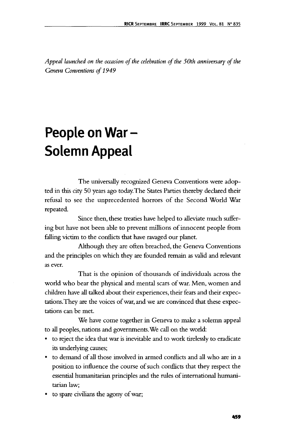*Appeal launched on the occasion of the celebration of the 50th anniversary of the Geneva Conventions of 1949*

## **People on War - Solemn Appeal**

The universally recognized Geneva Conventions were adopted in this city 50 years ago today. The States Parties thereby declared their refusal to see the unprecedented horrors of the Second World War repeated.

Since then, these treaties have helped to alleviate much suffering but have not been able to prevent millions of innocent people from falling victim to the conflicts that have ravaged our planet.

Although they are often breached, the Geneva Conventions and die principles on which they are founded remain as valid and relevant as ever.

That is the opinion of thousands of individuals across the world who bear the physical and mental scars of war. Men, women and children have all talked about their experiences, their fears and their expectations. They are the voices of war, and we are convinced that these expectations can be met.

We have come together in Geneva to make a solemn appeal to all peoples, nations and governments. We call on the world:

- to reject the idea that war is inevitable and to work tirelessly to eradicate its underlying causes;
- to demand of all those involved in armed conflicts and all who are in a position to influence the course of such conflicts that they respect the essential humanitarian principles and the rules of international humanitarian law;
- to spare civilians the agony of war;